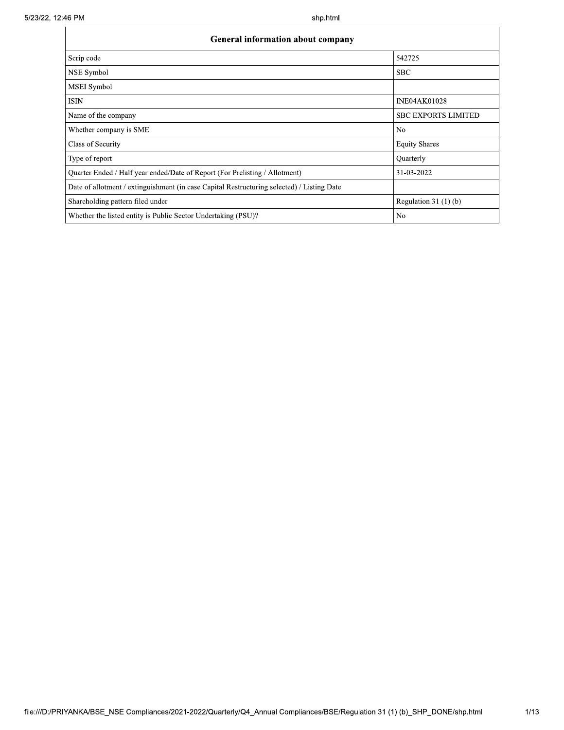| <b>General information about company</b>                                                   |                            |  |  |  |  |  |
|--------------------------------------------------------------------------------------------|----------------------------|--|--|--|--|--|
| Scrip code                                                                                 | 542725                     |  |  |  |  |  |
| <b>NSE Symbol</b>                                                                          | <b>SBC</b>                 |  |  |  |  |  |
| <b>MSEI</b> Symbol                                                                         |                            |  |  |  |  |  |
| <b>ISIN</b>                                                                                | <b>INE04AK01028</b>        |  |  |  |  |  |
| Name of the company                                                                        | <b>SBC EXPORTS LIMITED</b> |  |  |  |  |  |
| Whether company is SME                                                                     | N <sub>0</sub>             |  |  |  |  |  |
| Class of Security                                                                          | <b>Equity Shares</b>       |  |  |  |  |  |
| Type of report                                                                             | Quarterly                  |  |  |  |  |  |
| Quarter Ended / Half year ended/Date of Report (For Prelisting / Allotment)                | 31-03-2022                 |  |  |  |  |  |
| Date of allotment / extinguishment (in case Capital Restructuring selected) / Listing Date |                            |  |  |  |  |  |
| Shareholding pattern filed under                                                           | Regulation $31(1)(b)$      |  |  |  |  |  |
| Whether the listed entity is Public Sector Undertaking (PSU)?                              | No                         |  |  |  |  |  |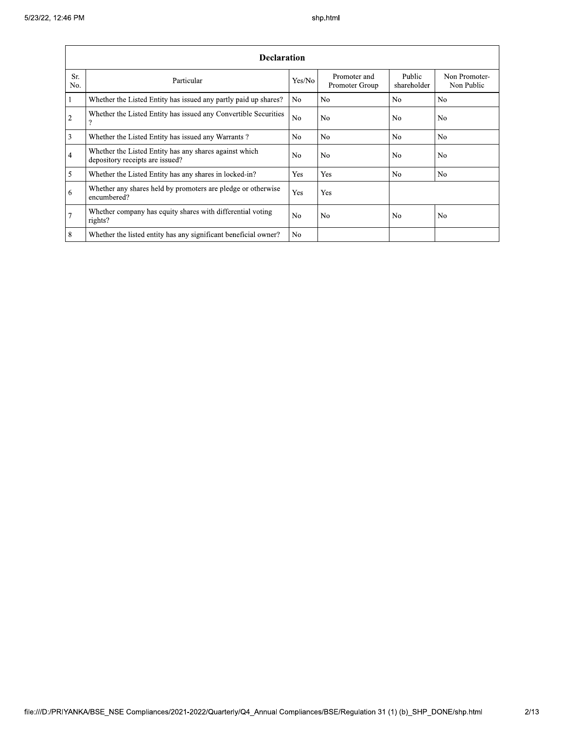|                | <b>Declaration</b>                                                                        |                |                                |                       |                             |  |  |  |  |  |
|----------------|-------------------------------------------------------------------------------------------|----------------|--------------------------------|-----------------------|-----------------------------|--|--|--|--|--|
| Sr.<br>No.     | Particular                                                                                | Yes/No         | Promoter and<br>Promoter Group | Public<br>shareholder | Non Promoter-<br>Non Public |  |  |  |  |  |
| $\vert$ 1      | Whether the Listed Entity has issued any partly paid up shares?                           | No.            | No.                            | N <sub>o</sub>        | N <sub>o</sub>              |  |  |  |  |  |
| $\overline{2}$ | Whether the Listed Entity has issued any Convertible Securities<br>$\Omega$               | N <sub>o</sub> | No                             | N <sub>0</sub>        | N <sub>0</sub>              |  |  |  |  |  |
| $\overline{3}$ | Whether the Listed Entity has issued any Warrants?                                        | N <sub>o</sub> | No                             | N <sub>0</sub>        | N <sub>0</sub>              |  |  |  |  |  |
| $\overline{4}$ | Whether the Listed Entity has any shares against which<br>depository receipts are issued? | No             | No.                            | N <sub>0</sub>        | N <sub>o</sub>              |  |  |  |  |  |
| $\overline{5}$ | Whether the Listed Entity has any shares in locked-in?                                    | Yes            | Yes                            | N <sub>0</sub>        | N <sub>o</sub>              |  |  |  |  |  |
| 6              | Whether any shares held by promoters are pledge or otherwise<br>encumbered?               | Yes            | Yes                            |                       |                             |  |  |  |  |  |
| 7              | Whether company has equity shares with differential voting<br>rights?                     | No             | No                             | No.                   | N <sub>0</sub>              |  |  |  |  |  |
| $\overline{8}$ | Whether the listed entity has any significant beneficial owner?                           | N <sub>0</sub> |                                |                       |                             |  |  |  |  |  |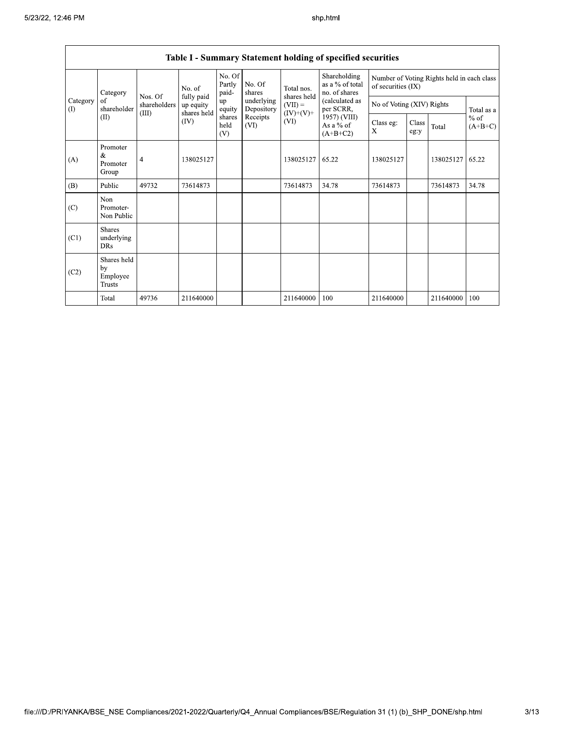|                               | Taoic 1 – Summary Statement holding of specified securities |                       |                                        |                           |                          |                                                               |                                                                                                                            |                                                                    |               |           |                     |
|-------------------------------|-------------------------------------------------------------|-----------------------|----------------------------------------|---------------------------|--------------------------|---------------------------------------------------------------|----------------------------------------------------------------------------------------------------------------------------|--------------------------------------------------------------------|---------------|-----------|---------------------|
|                               |                                                             | Category<br>Nos. Of   | No. of                                 | No. Of<br>Partly<br>paid- | No. Of<br>shares         | Total nos.<br>shares held<br>$(VII) =$<br>$(IV)+(V)+$<br>(VI) | Shareholding<br>as a % of total<br>no. of shares<br>(calculated as<br>per SCRR,<br>1957) (VIII)<br>As a % of<br>$(A+B+C2)$ | Number of Voting Rights held in each class<br>of securities $(IX)$ |               |           |                     |
| Category<br>of<br>(1)<br>(II) | shareholder                                                 | shareholders<br>(III) | fully paid<br>up equity<br>shares held | up<br>equity              | underlying<br>Depository |                                                               |                                                                                                                            | No of Voting (XIV) Rights                                          |               |           | Total as a          |
|                               |                                                             |                       | (IV)                                   | shares<br>held<br>(V)     | Receipts<br>(VI)         |                                                               |                                                                                                                            | Class eg:<br>X                                                     | Class<br>eg:y | Total     | $%$ of<br>$(A+B+C)$ |
| (A)                           | Promoter<br>&<br>Promoter<br>Group                          | 4                     | 138025127                              |                           |                          | 138025127                                                     | 65.22                                                                                                                      | 138025127                                                          |               | 138025127 | 65.22               |
| (B)                           | Public                                                      | 49732                 | 73614873                               |                           |                          | 73614873                                                      | 34.78                                                                                                                      | 73614873                                                           |               | 73614873  | 34.78               |
| (C)                           | Non<br>Promoter-<br>Non Public                              |                       |                                        |                           |                          |                                                               |                                                                                                                            |                                                                    |               |           |                     |
| (C1)                          | <b>Shares</b><br>underlying<br><b>DRs</b>                   |                       |                                        |                           |                          |                                                               |                                                                                                                            |                                                                    |               |           |                     |
| (C2)                          | Shares held<br>by<br>Employee<br><b>Trusts</b>              |                       |                                        |                           |                          |                                                               |                                                                                                                            |                                                                    |               |           |                     |
|                               | Total                                                       | 49736                 | 211640000                              |                           |                          | 211640000                                                     | 100                                                                                                                        | 211640000                                                          |               | 211640000 | 100                 |

## Table I - Summary Statement holding of specified securities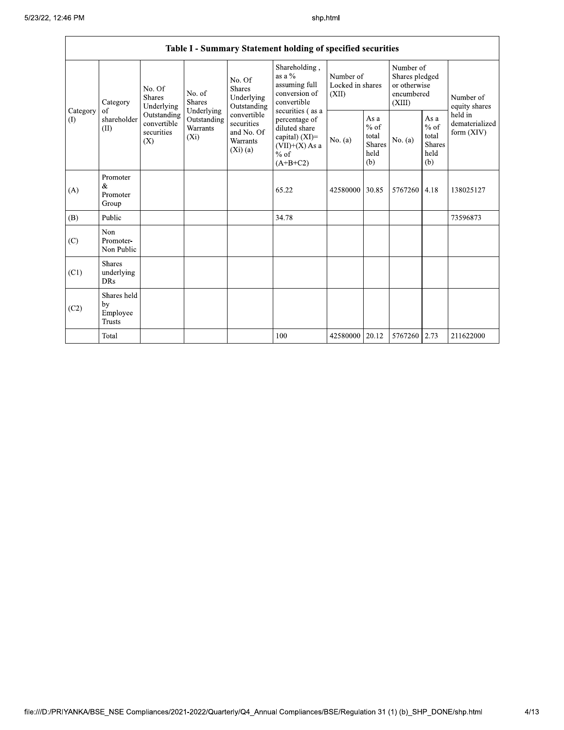|                 | Table I - Summary Statement holding of specified securities |                                                 |                                                                                                                                                                                                                                                                                                                                                                                                                 |         |                                                         |                                        |                                                         |                                                                     |      |                                                                         |
|-----------------|-------------------------------------------------------------|-------------------------------------------------|-----------------------------------------------------------------------------------------------------------------------------------------------------------------------------------------------------------------------------------------------------------------------------------------------------------------------------------------------------------------------------------------------------------------|---------|---------------------------------------------------------|----------------------------------------|---------------------------------------------------------|---------------------------------------------------------------------|------|-------------------------------------------------------------------------|
|                 | Category                                                    | No. Of<br>Shares<br>Underlying                  | Shareholding,<br>as a %<br>No. Of<br>assuming full<br><b>Shares</b><br>conversion of<br>No. of<br>Underlying<br><b>Shares</b><br>convertible<br>Outstanding<br>Underlying<br>securities (as a<br>convertible<br>Outstanding<br>percentage of<br>securities<br>diluted share<br><b>Warrants</b><br>and No. Of<br>$(X_i)$<br>capital) (XI)=<br>Warrants<br>$(VII)+(X)$ As a<br>$(Xi)$ (a)<br>$%$ of<br>$(A+B+C2)$ |         |                                                         | Number of<br>Locked in shares<br>(XII) |                                                         | Number of<br>Shares pledged<br>or otherwise<br>encumbered<br>(XIII) |      | Number of<br>equity shares<br>held in<br>dematerialized<br>form $(XIV)$ |
| Category<br>(1) | of<br>shareholder<br>(II)                                   | Outstanding<br>convertible<br>securities<br>(X) |                                                                                                                                                                                                                                                                                                                                                                                                                 | No. (a) | As a<br>$%$ of<br>total<br><b>Shares</b><br>held<br>(b) | No. (a)                                | As a<br>$%$ of<br>total<br><b>Shares</b><br>held<br>(b) |                                                                     |      |                                                                         |
| (A)             | Promoter<br>&<br>Promoter<br>Group                          |                                                 |                                                                                                                                                                                                                                                                                                                                                                                                                 |         | 65.22                                                   | 42580000                               | 30.85                                                   | 5767260                                                             | 4.18 | 138025127                                                               |
| (B)             | Public                                                      |                                                 |                                                                                                                                                                                                                                                                                                                                                                                                                 |         | 34.78                                                   |                                        |                                                         |                                                                     |      | 73596873                                                                |
| (C)             | Non<br>Promoter-<br>Non Public                              |                                                 |                                                                                                                                                                                                                                                                                                                                                                                                                 |         |                                                         |                                        |                                                         |                                                                     |      |                                                                         |
| (C1)            | <b>Shares</b><br>underlying<br><b>DRs</b>                   |                                                 |                                                                                                                                                                                                                                                                                                                                                                                                                 |         |                                                         |                                        |                                                         |                                                                     |      |                                                                         |
| (C2)            | Shares held<br>by<br>Employee<br><b>Trusts</b>              |                                                 |                                                                                                                                                                                                                                                                                                                                                                                                                 |         |                                                         |                                        |                                                         |                                                                     |      |                                                                         |
|                 | Total                                                       |                                                 |                                                                                                                                                                                                                                                                                                                                                                                                                 |         | 100                                                     | 42580000   20.12                       |                                                         | 5767260 2.73                                                        |      | 211622000                                                               |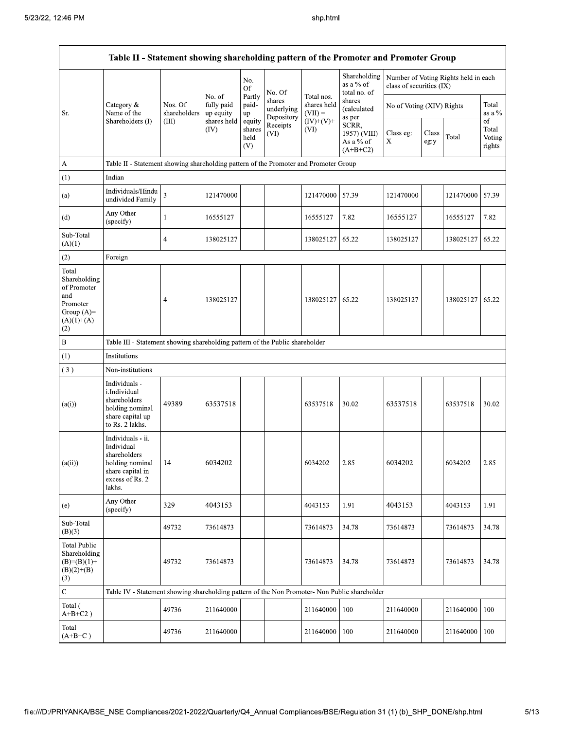Г

|                                                                                                | Table II - Statement showing shareholding pattern of the Promoter and Promoter Group                                   |                         |                                   |                                 |                                    |                                        |                                                  |                           |               |                                      |                                 |
|------------------------------------------------------------------------------------------------|------------------------------------------------------------------------------------------------------------------------|-------------------------|-----------------------------------|---------------------------------|------------------------------------|----------------------------------------|--------------------------------------------------|---------------------------|---------------|--------------------------------------|---------------------------------|
|                                                                                                |                                                                                                                        |                         |                                   | No.<br>Of                       | No. Of                             |                                        | Shareholding<br>as a % of<br>total no. of        | class of securities (IX)  |               | Number of Voting Rights held in each |                                 |
| Sr.                                                                                            | Category &<br>Name of the                                                                                              | Nos. Of<br>shareholders | No. of<br>fully paid<br>up equity | Partly<br>paid-<br>up           | shares<br>underlying<br>Depository | Total nos.<br>shares held<br>$(VII) =$ | shares<br>(calculated<br>as per                  | No of Voting (XIV) Rights |               |                                      | Total<br>as a $\%$              |
|                                                                                                | Shareholders (I)                                                                                                       | (III)                   | shares held<br>(IV)               | equity<br>shares<br>held<br>(V) | Receipts<br>(VI)                   | $(IV)+(V)+$<br>(VI)                    | SCRR,<br>1957) (VIII)<br>As a % of<br>$(A+B+C2)$ | Class eg:<br>X            | Class<br>eg:y | Total                                | of<br>Total<br>Voting<br>rights |
| A                                                                                              | Table II - Statement showing shareholding pattern of the Promoter and Promoter Group                                   |                         |                                   |                                 |                                    |                                        |                                                  |                           |               |                                      |                                 |
| (1)                                                                                            | Indian                                                                                                                 |                         |                                   |                                 |                                    |                                        |                                                  |                           |               |                                      |                                 |
| (a)                                                                                            | Individuals/Hindu<br>undivided Family                                                                                  | 3                       | 121470000                         |                                 |                                    | 121470000                              | 57.39                                            | 121470000                 |               | 121470000 57.39                      |                                 |
| (d)                                                                                            | Any Other<br>(specify)                                                                                                 | $\mathbf{1}$            | 16555127                          |                                 |                                    | 16555127                               | 7.82                                             | 16555127                  |               | 16555127                             | 7.82                            |
| Sub-Total<br>(A)(1)                                                                            |                                                                                                                        | $\overline{4}$          | 138025127                         |                                 |                                    | 138025127                              | 65.22                                            | 138025127                 |               | 138025127   65.22                    |                                 |
| (2)                                                                                            | Foreign                                                                                                                |                         |                                   |                                 |                                    |                                        |                                                  |                           |               |                                      |                                 |
| Total<br>Shareholding<br>of Promoter<br>and<br>Promoter<br>Group $(A)=$<br>$(A)(1)+(A)$<br>(2) |                                                                                                                        | 4                       | 138025127                         |                                 |                                    | 138025127                              | 65.22                                            | 138025127                 |               | 138025127   65.22                    |                                 |
| $\, {\bf B}$                                                                                   | Table III - Statement showing shareholding pattern of the Public shareholder                                           |                         |                                   |                                 |                                    |                                        |                                                  |                           |               |                                      |                                 |
| (1)                                                                                            | Institutions                                                                                                           |                         |                                   |                                 |                                    |                                        |                                                  |                           |               |                                      |                                 |
| (3)                                                                                            | Non-institutions                                                                                                       |                         |                                   |                                 |                                    |                                        |                                                  |                           |               |                                      |                                 |
| (a(i))                                                                                         | Individuals -<br>i.Individual<br>shareholders<br>holding nominal<br>share capital up<br>to Rs. 2 lakhs.                | 49389                   | 63537518                          |                                 |                                    | 63537518                               | 30.02                                            | 63537518                  |               | 63537518                             | 30.02                           |
| (a(ii))                                                                                        | Individuals - ii.<br>Individual<br>shareholders<br>holding nominal 14<br>share capital in<br>excess of Rs. 2<br>lakhs. |                         | 6034202                           |                                 |                                    | 6034202                                | 2.85                                             | 6034202                   |               | 6034202                              | 2.85                            |
| (e)                                                                                            | Any Other<br>(specify)                                                                                                 | 329                     | 4043153                           |                                 |                                    | 4043153                                | 1.91                                             | 4043153                   |               | 4043153                              | 1.91                            |
| Sub-Total<br>(B)(3)                                                                            |                                                                                                                        | 49732                   | 73614873                          |                                 |                                    | 73614873                               | 34.78                                            | 73614873                  |               | 73614873                             | 34.78                           |
| <b>Total Public</b><br>Shareholding<br>$(B)=(B)(1)$ +<br>$(B)(2)+(B)$<br>(3)                   |                                                                                                                        | 49732                   | 73614873                          |                                 |                                    | 73614873                               | 34.78                                            | 73614873                  |               | 73614873                             | 34.78                           |
| $\overline{\mathbf{C}}$                                                                        | Table IV - Statement showing shareholding pattern of the Non Promoter- Non Public shareholder                          |                         |                                   |                                 |                                    |                                        |                                                  |                           |               |                                      |                                 |
| Total (<br>$A+B+C2$ )                                                                          |                                                                                                                        | 49736                   | 211640000                         |                                 |                                    | 211640000                              | 100                                              | 211640000                 |               | 211640000                            | 100                             |
| Total<br>$(A+B+C)$                                                                             |                                                                                                                        | 49736                   | 211640000                         |                                 |                                    | 211640000                              | 100                                              | 211640000                 |               | 211640000                            | 100                             |

┑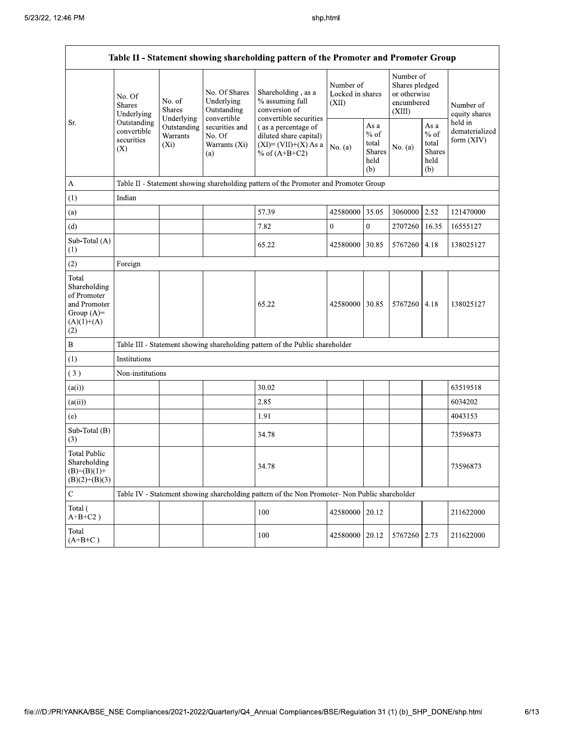| Table II - Statement showing shareholding pattern of the Promoter and Promoter Group        |                                                                                          |                                    |                                                                         |                                                                                                                                                                               |                                        |                                                   |                                                                     |                                                         |                                           |
|---------------------------------------------------------------------------------------------|------------------------------------------------------------------------------------------|------------------------------------|-------------------------------------------------------------------------|-------------------------------------------------------------------------------------------------------------------------------------------------------------------------------|----------------------------------------|---------------------------------------------------|---------------------------------------------------------------------|---------------------------------------------------------|-------------------------------------------|
|                                                                                             | No. Of<br><b>Shares</b><br>Underlying<br>Outstanding<br>convertible<br>securities<br>(X) | No. of<br><b>Shares</b>            | No. Of Shares<br>Underlying<br>Outstanding<br>Underlying<br>convertible | Shareholding, as a<br>% assuming full<br>conversion of<br>convertible securities<br>(as a percentage of<br>diluted share capital)<br>$(XI)=(VII)+(X) As a$<br>% of $(A+B+C2)$ | Number of<br>Locked in shares<br>(XII) |                                                   | Number of<br>Shares pledged<br>or otherwise<br>encumbered<br>(XIII) |                                                         | Number of<br>equity shares                |
| Sr.                                                                                         |                                                                                          | Outstanding<br>Warrants<br>$(X_i)$ | securities and<br>No. Of<br>Warrants (Xi)<br>(a)                        |                                                                                                                                                                               | No. $(a)$                              | As a<br>$\%$ of<br>total<br>Shares<br>held<br>(b) | No. $(a)$                                                           | As a<br>$%$ of<br>total<br><b>Shares</b><br>held<br>(b) | held in<br>dematerialized<br>form $(XIV)$ |
| А                                                                                           |                                                                                          |                                    |                                                                         | Table II - Statement showing shareholding pattern of the Promoter and Promoter Group                                                                                          |                                        |                                                   |                                                                     |                                                         |                                           |
| (1)                                                                                         | Indian                                                                                   |                                    |                                                                         |                                                                                                                                                                               |                                        |                                                   |                                                                     |                                                         |                                           |
| (a)                                                                                         |                                                                                          |                                    |                                                                         | 57.39                                                                                                                                                                         | 42580000                               | 35.05                                             | 3060000                                                             | 2.52                                                    | 121470000                                 |
| (d)                                                                                         |                                                                                          |                                    |                                                                         | 7.82                                                                                                                                                                          | $\mathbf{0}$                           | $\overline{0}$                                    | 2707260                                                             | 16.35                                                   | 16555127                                  |
| Sub-Total (A)<br>(1)                                                                        |                                                                                          |                                    |                                                                         | 65.22                                                                                                                                                                         | 42580000                               | 30.85                                             | 5767260                                                             | 4.18                                                    | 138025127                                 |
| (2)                                                                                         | Foreign                                                                                  |                                    |                                                                         |                                                                                                                                                                               |                                        |                                                   |                                                                     |                                                         |                                           |
| Total<br>Shareholding<br>of Promoter<br>and Promoter<br>Group $(A)=$<br>$(A)(1)+(A)$<br>(2) |                                                                                          |                                    |                                                                         | 65.22                                                                                                                                                                         | 42580000 30.85                         |                                                   | 5767260                                                             | 4.18                                                    | 138025127                                 |
| $\, {\bf B}$                                                                                |                                                                                          |                                    |                                                                         | Table III - Statement showing shareholding pattern of the Public shareholder                                                                                                  |                                        |                                                   |                                                                     |                                                         |                                           |
| (1)                                                                                         | Institutions                                                                             |                                    |                                                                         |                                                                                                                                                                               |                                        |                                                   |                                                                     |                                                         |                                           |
| (3)                                                                                         | Non-institutions                                                                         |                                    |                                                                         |                                                                                                                                                                               |                                        |                                                   |                                                                     |                                                         |                                           |
| (a(i))                                                                                      |                                                                                          |                                    |                                                                         | 30.02                                                                                                                                                                         |                                        |                                                   |                                                                     |                                                         | 63519518                                  |
| (a(ii))                                                                                     |                                                                                          |                                    |                                                                         | 2.85                                                                                                                                                                          |                                        |                                                   |                                                                     |                                                         | 6034202                                   |
| (e)                                                                                         |                                                                                          |                                    |                                                                         | 1.91                                                                                                                                                                          |                                        |                                                   |                                                                     |                                                         | 4043153                                   |
| Sub-Total (B)<br>(3)                                                                        |                                                                                          |                                    |                                                                         | 34.78                                                                                                                                                                         |                                        |                                                   |                                                                     |                                                         | 73596873                                  |
| <b>Total Public</b><br>Shareholding<br>$(B)=(B)(1)+$<br>$(B)(2)+(B)(3)$                     |                                                                                          |                                    |                                                                         | 34.78                                                                                                                                                                         |                                        |                                                   |                                                                     |                                                         | 73596873                                  |
| $\mathbf C$                                                                                 |                                                                                          |                                    |                                                                         | Table IV - Statement showing shareholding pattern of the Non Promoter- Non Public shareholder                                                                                 |                                        |                                                   |                                                                     |                                                         |                                           |
| Total (<br>$A+B+C2$ )                                                                       |                                                                                          |                                    |                                                                         | 100                                                                                                                                                                           | 42580000                               | 20.12                                             |                                                                     |                                                         | 211622000                                 |
| Total<br>$(A+B+C)$                                                                          |                                                                                          |                                    |                                                                         | 100                                                                                                                                                                           | 42580000   20.12                       |                                                   | 5767260                                                             | 2.73                                                    | 211622000                                 |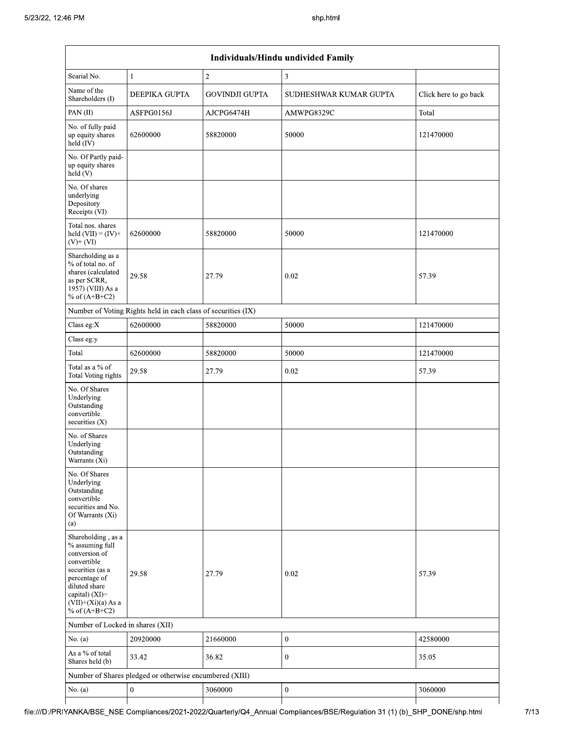| Individuals/Hindu undivided Family                                                                                                                                                       |                                                               |                       |                        |                       |  |  |  |  |
|------------------------------------------------------------------------------------------------------------------------------------------------------------------------------------------|---------------------------------------------------------------|-----------------------|------------------------|-----------------------|--|--|--|--|
| Searial No.                                                                                                                                                                              | 1                                                             | $\mathbf{2}$          | 3                      |                       |  |  |  |  |
| Name of the<br>Shareholders (I)                                                                                                                                                          | <b>DEEPIKA GUPTA</b>                                          | <b>GOVINDJI GUPTA</b> | SUDHESHWAR KUMAR GUPTA | Click here to go back |  |  |  |  |
| PAN(II)                                                                                                                                                                                  | ASFPG0156J                                                    | AJCPG6474H            | AMWPG8329C             | Total                 |  |  |  |  |
| No. of fully paid<br>up equity shares<br>$held$ (IV)                                                                                                                                     | 62600000                                                      | 58820000              | 50000                  | 121470000             |  |  |  |  |
| No. Of Partly paid-<br>up equity shares<br>held (V)                                                                                                                                      |                                                               |                       |                        |                       |  |  |  |  |
| No. Of shares<br>underlying<br>Depository<br>Receipts (VI)                                                                                                                               |                                                               |                       |                        |                       |  |  |  |  |
| Total nos. shares<br>held $(VII) = (IV) +$<br>$(V)+(VI)$                                                                                                                                 | 62600000                                                      | 58820000              | 50000                  | 121470000             |  |  |  |  |
| Shareholding as a<br>% of total no. of<br>shares (calculated<br>as per SCRR,<br>1957) (VIII) As a<br>% of $(A+B+C2)$                                                                     | 29.58                                                         | 27.79                 | 0.02                   | 57.39                 |  |  |  |  |
|                                                                                                                                                                                          | Number of Voting Rights held in each class of securities (IX) |                       |                        |                       |  |  |  |  |
| Class eg:X                                                                                                                                                                               | 62600000                                                      | 58820000              | 50000                  | 121470000             |  |  |  |  |
| Class eg:y                                                                                                                                                                               |                                                               |                       |                        |                       |  |  |  |  |
| Total                                                                                                                                                                                    | 62600000                                                      | 58820000              | 50000                  | 121470000             |  |  |  |  |
| Total as a % of<br>Total Voting rights                                                                                                                                                   | 29.58                                                         | 27.79                 | 0.02                   | 57.39                 |  |  |  |  |
| No. Of Shares<br>Underlying<br>Outstanding<br>convertible<br>securities $(X)$                                                                                                            |                                                               |                       |                        |                       |  |  |  |  |
| No. of Shares<br>Underlying<br>Outstanding<br>Warrants (Xi)                                                                                                                              |                                                               |                       |                        |                       |  |  |  |  |
| No. Of Shares<br>Underlying<br>Outstanding<br>convertible<br>securities and No.<br>Of Warrants (Xi)<br>(a)                                                                               |                                                               |                       |                        |                       |  |  |  |  |
| Shareholding, as a<br>% assuming full<br>conversion of<br>convertible<br>securities (as a<br>percentage of<br>diluted share<br>capital) (XI)=<br>$(VII)+(Xi)(a) As a$<br>% of $(A+B+C2)$ | 29.58                                                         | 27.79                 | 0.02                   | 57.39                 |  |  |  |  |
| Number of Locked in shares (XII)                                                                                                                                                         |                                                               |                       |                        |                       |  |  |  |  |
| No. (a)                                                                                                                                                                                  | 20920000                                                      | 21660000              | $\boldsymbol{0}$       | 42580000              |  |  |  |  |
| As a % of total<br>Shares held (b)                                                                                                                                                       | 33.42                                                         | 36.82                 | $\mathbf{0}$           | 35.05                 |  |  |  |  |
|                                                                                                                                                                                          | Number of Shares pledged or otherwise encumbered (XIII)       |                       |                        |                       |  |  |  |  |
| No. (a)                                                                                                                                                                                  | $\boldsymbol{0}$                                              | 3060000               | $\boldsymbol{0}$       | 3060000               |  |  |  |  |
|                                                                                                                                                                                          |                                                               |                       |                        |                       |  |  |  |  |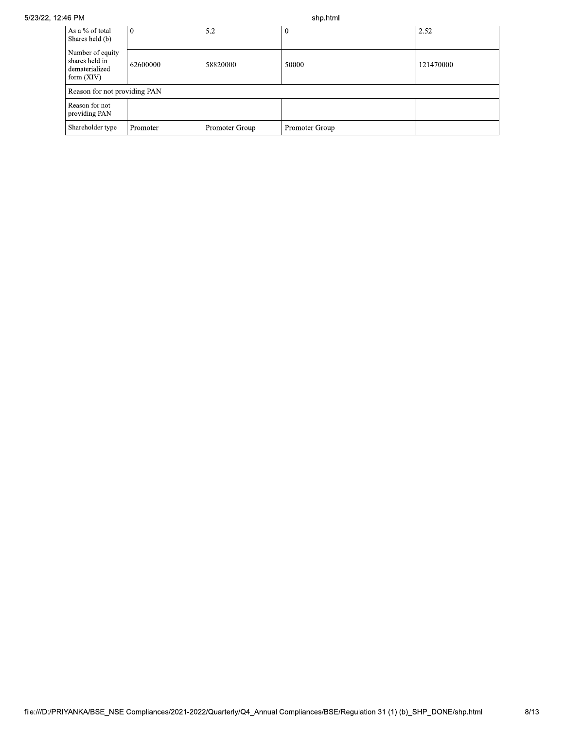## 5/23/22, 12:46 PM

shp.html

| As a % of total<br>Shares held (b)                                   | $\theta$             | 5.2            | $\boldsymbol{0}$ | 2.52      |
|----------------------------------------------------------------------|----------------------|----------------|------------------|-----------|
| Number of equity<br>shares held in<br>dematerialized<br>form $(XIV)$ | 58820000<br>62600000 |                | 50000            | 121470000 |
| Reason for not providing PAN                                         |                      |                |                  |           |
| Reason for not<br>providing PAN                                      |                      |                |                  |           |
| Shareholder type                                                     | Promoter             | Promoter Group | Promoter Group   |           |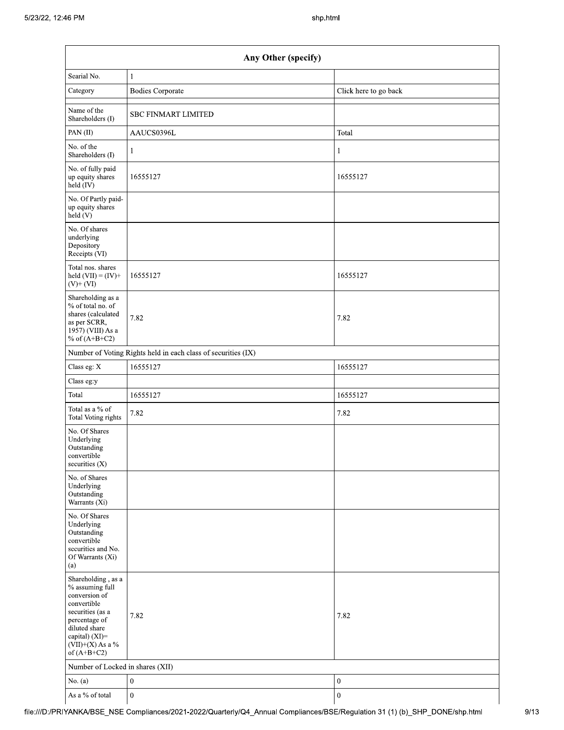|                                                                                                                                                                                      | Any Other (specify)                                           |                       |  |  |  |  |  |  |
|--------------------------------------------------------------------------------------------------------------------------------------------------------------------------------------|---------------------------------------------------------------|-----------------------|--|--|--|--|--|--|
| Searial No.                                                                                                                                                                          | $\mathbf{1}$                                                  |                       |  |  |  |  |  |  |
| Category                                                                                                                                                                             | <b>Bodies Corporate</b>                                       | Click here to go back |  |  |  |  |  |  |
| Name of the<br>Shareholders (I)                                                                                                                                                      | <b>SBC FINMART LIMITED</b>                                    |                       |  |  |  |  |  |  |
| PAN(II)                                                                                                                                                                              | AAUCS0396L                                                    | Total                 |  |  |  |  |  |  |
| No. of the<br>Shareholders (I)                                                                                                                                                       | $\mathbf{1}$                                                  | 1                     |  |  |  |  |  |  |
| No. of fully paid<br>up equity shares<br>held (IV)                                                                                                                                   | 16555127                                                      | 16555127              |  |  |  |  |  |  |
| No. Of Partly paid-<br>up equity shares<br>held (V)                                                                                                                                  |                                                               |                       |  |  |  |  |  |  |
| No. Of shares<br>underlying<br>Depository<br>Receipts (VI)                                                                                                                           |                                                               |                       |  |  |  |  |  |  |
| Total nos. shares<br>held $(VII) = (IV) +$<br>$(V)$ + $(VI)$                                                                                                                         | 16555127                                                      | 16555127              |  |  |  |  |  |  |
| Shareholding as a<br>% of total no. of<br>shares (calculated<br>as per SCRR,<br>1957) (VIII) As a<br>% of $(A+B+C2)$                                                                 | 7.82                                                          | 7.82                  |  |  |  |  |  |  |
|                                                                                                                                                                                      | Number of Voting Rights held in each class of securities (IX) |                       |  |  |  |  |  |  |
| Class eg: X                                                                                                                                                                          | 16555127                                                      | 16555127              |  |  |  |  |  |  |
| Class eg:y                                                                                                                                                                           |                                                               |                       |  |  |  |  |  |  |
| Total                                                                                                                                                                                | 16555127                                                      | 16555127              |  |  |  |  |  |  |
| Total as a % of<br>Total Voting rights                                                                                                                                               | 7.82                                                          | 7.82                  |  |  |  |  |  |  |
| No. Of Shares<br>Underlying<br>Outstanding<br>convertible<br>securities $(X)$                                                                                                        |                                                               |                       |  |  |  |  |  |  |
| No. of Shares<br>Underlying<br>Outstanding<br>Warrants (Xi)                                                                                                                          |                                                               |                       |  |  |  |  |  |  |
| No. Of Shares<br>Underlying<br>Outstanding<br>convertible<br>securities and No.<br>Of Warrants (Xi)<br>(a)                                                                           |                                                               |                       |  |  |  |  |  |  |
| Shareholding, as a<br>% assuming full<br>conversion of<br>convertible<br>securities (as a<br>percentage of<br>diluted share<br>capital) (XI)=<br>$(VII)+(X)$ As a %<br>of $(A+B+C2)$ | 7.82                                                          | 7.82                  |  |  |  |  |  |  |
| Number of Locked in shares (XII)                                                                                                                                                     |                                                               |                       |  |  |  |  |  |  |
| No. $(a)$                                                                                                                                                                            | $\boldsymbol{0}$                                              | $\boldsymbol{0}$      |  |  |  |  |  |  |
| As a % of total                                                                                                                                                                      | $\boldsymbol{0}$                                              | $\boldsymbol{0}$      |  |  |  |  |  |  |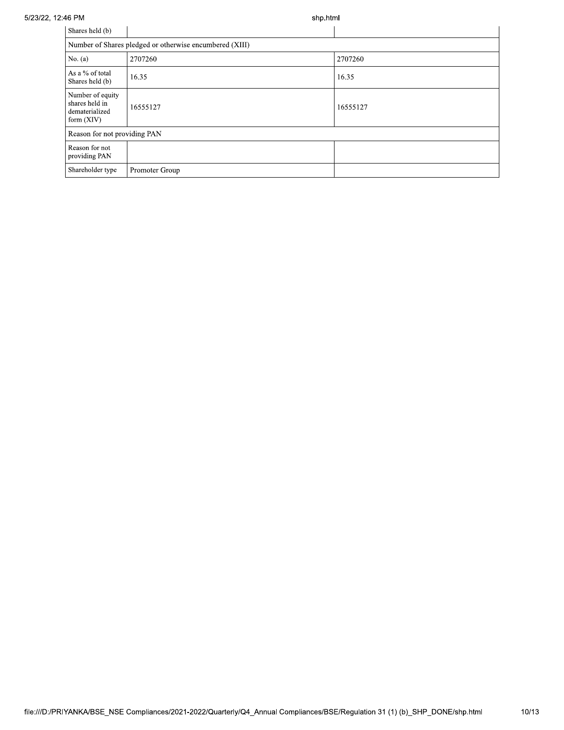## 5/23/22, 12:46 PM

shp.html

| Shares held (b)                                                      |                                                         |          |
|----------------------------------------------------------------------|---------------------------------------------------------|----------|
|                                                                      | Number of Shares pledged or otherwise encumbered (XIII) |          |
| No. (a)                                                              | 2707260                                                 | 2707260  |
| As a % of total<br>Shares held (b)                                   | 16.35                                                   | 16.35    |
| Number of equity<br>shares held in<br>dematerialized<br>form $(XIV)$ | 16555127                                                | 16555127 |
| Reason for not providing PAN                                         |                                                         |          |
| Reason for not<br>providing PAN                                      |                                                         |          |
| Shareholder type                                                     | Promoter Group                                          |          |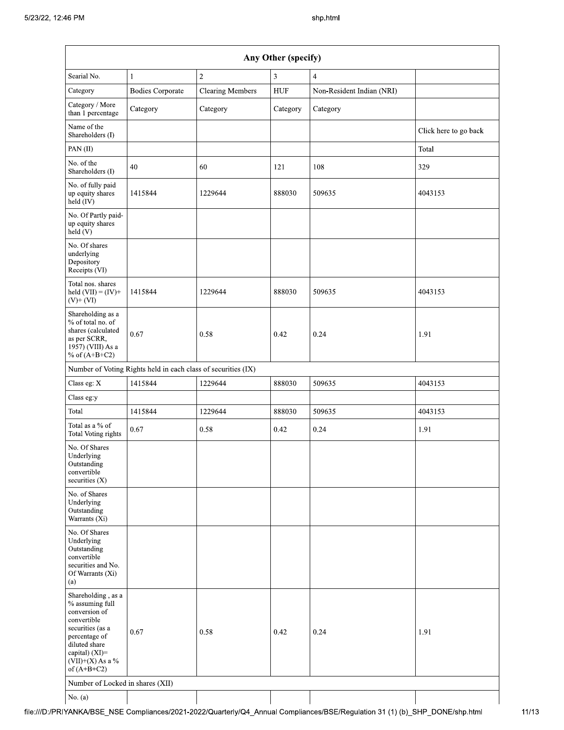| Any Other (specify)                                                                                                                                                                     |                                                               |                         |            |                           |                       |  |  |  |  |
|-----------------------------------------------------------------------------------------------------------------------------------------------------------------------------------------|---------------------------------------------------------------|-------------------------|------------|---------------------------|-----------------------|--|--|--|--|
| Searial No.                                                                                                                                                                             | $\mathbf{1}$                                                  | $\sqrt{2}$              | 3          | $\overline{4}$            |                       |  |  |  |  |
| Category                                                                                                                                                                                | <b>Bodies Corporate</b>                                       | <b>Clearing Members</b> | <b>HUF</b> | Non-Resident Indian (NRI) |                       |  |  |  |  |
| Category / More<br>than 1 percentage                                                                                                                                                    | Category                                                      | Category                | Category   | Category                  |                       |  |  |  |  |
| Name of the<br>Shareholders (I)                                                                                                                                                         |                                                               |                         |            |                           | Click here to go back |  |  |  |  |
| PAN(II)                                                                                                                                                                                 |                                                               |                         |            |                           | Total                 |  |  |  |  |
| No. of the<br>Shareholders (I)                                                                                                                                                          | 40                                                            | 60                      | 121        | 108                       | 329                   |  |  |  |  |
| No. of fully paid<br>up equity shares<br>held (IV)                                                                                                                                      | 1415844                                                       | 1229644                 | 888030     | 509635                    | 4043153               |  |  |  |  |
| No. Of Partly paid-<br>up equity shares<br>held(V)                                                                                                                                      |                                                               |                         |            |                           |                       |  |  |  |  |
| No. Of shares<br>underlying<br>Depository<br>Receipts (VI)                                                                                                                              |                                                               |                         |            |                           |                       |  |  |  |  |
| Total nos. shares<br>held $(VII) = (IV) +$<br>$(V)+(VI)$                                                                                                                                | 1415844                                                       | 1229644                 | 888030     | 509635                    | 4043153               |  |  |  |  |
| Shareholding as a<br>% of total no. of<br>shares (calculated<br>as per SCRR,<br>1957) (VIII) As a<br>% of $(A+B+C2)$                                                                    | 0.67                                                          | 0.58                    | 0.42       | 0.24                      | 1.91                  |  |  |  |  |
|                                                                                                                                                                                         | Number of Voting Rights held in each class of securities (IX) |                         |            |                           |                       |  |  |  |  |
| Class eg: X                                                                                                                                                                             | 1415844                                                       | 1229644                 | 888030     | 509635                    | 4043153               |  |  |  |  |
| Class eg:y                                                                                                                                                                              |                                                               |                         |            |                           |                       |  |  |  |  |
| Total                                                                                                                                                                                   | 1415844                                                       | 1229644                 | 888030     | 509635                    | 4043153               |  |  |  |  |
| Total as a $\%$ of<br><b>Total Voting rights</b>                                                                                                                                        | 0.67                                                          | 0.58                    | 0.42       | 0.24                      | 1.91                  |  |  |  |  |
| No. Of Shares<br>Underlying<br>Outstanding<br>convertible<br>securities (X)                                                                                                             |                                                               |                         |            |                           |                       |  |  |  |  |
| No. of Shares<br>Underlying<br>Outstanding<br>Warrants (Xi)                                                                                                                             |                                                               |                         |            |                           |                       |  |  |  |  |
| No. Of Shares<br>Underlying<br>Outstanding<br>convertible<br>securities and No.<br>Of Warrants (Xi)<br>(a)                                                                              |                                                               |                         |            |                           |                       |  |  |  |  |
| Shareholding, as a<br>% assuming full<br>conversion of<br>convertible<br>securities (as a<br>percentage of<br>diluted share<br>capital) $(XI)$ =<br>$(VII)+(X)$ As a %<br>of $(A+B+C2)$ | 0.67                                                          | 0.58                    | 0.42       | 0.24                      | 1.91                  |  |  |  |  |
| Number of Locked in shares (XII)                                                                                                                                                        |                                                               |                         |            |                           |                       |  |  |  |  |
| No. $(a)$                                                                                                                                                                               |                                                               |                         |            |                           |                       |  |  |  |  |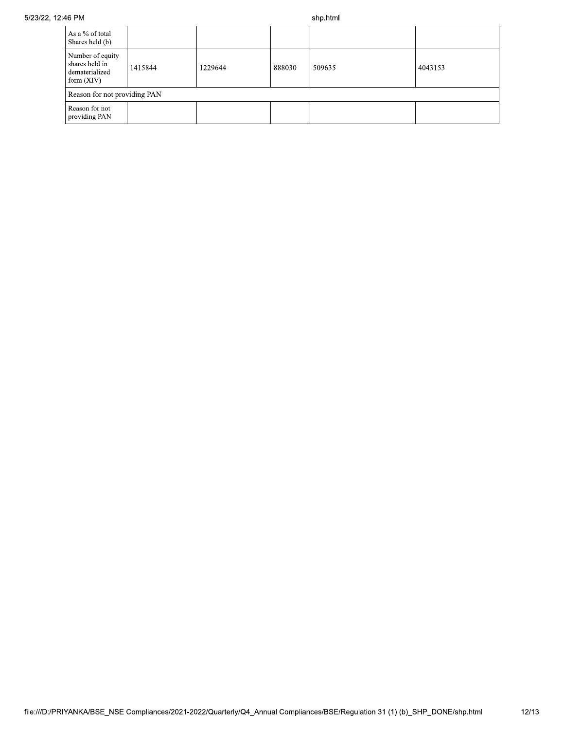shp.html

| As a % of total<br>Shares held (b)                                   |                              |         |        |        |         |  |  |  |  |
|----------------------------------------------------------------------|------------------------------|---------|--------|--------|---------|--|--|--|--|
| Number of equity<br>shares held in<br>dematerialized<br>form $(XIV)$ | 1415844                      | 1229644 | 888030 | 509635 | 4043153 |  |  |  |  |
|                                                                      | Reason for not providing PAN |         |        |        |         |  |  |  |  |
| Reason for not<br>providing PAN                                      |                              |         |        |        |         |  |  |  |  |